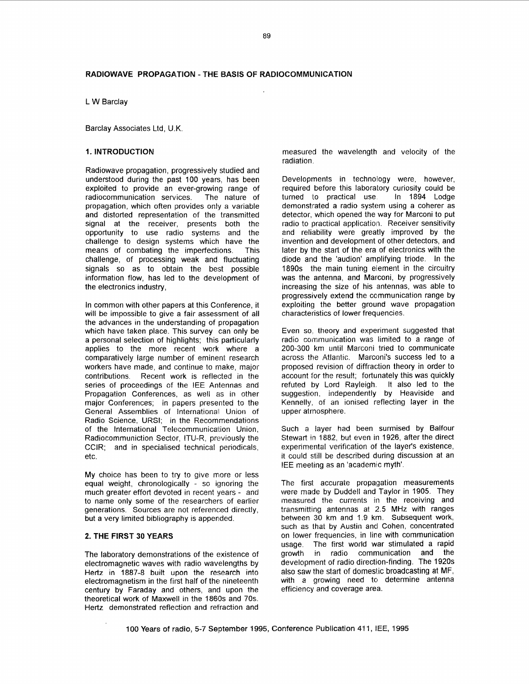L W Barclay

Barclay Associates Ltd, **U.K** 

# **1. INTRODUCTION**

Radiowave propagation, progressively studied and understood during the past 100 years. has been exploited to provide an ever-growing range of radiocommunication services. The nature of propagation, which often provides only a variable and distorted representation of the transmitted signal at the receiver, presents both the opportunity to use radio systems and the opportunity to use radio systems and challenge to design systems which have the means of combating the imperfections. This challenge, of processing weak and fluctuating signals so as to obtain the best possible information flow, has led to the development of the electronics industry,

In common with other papers at this Conference, it will be impossible to give a fair assessment of all the advances in the understanding of propagation which have taken place. This survey can only be a personal selection of highlights; this particularly applies to the more recent work where a comparatively large number of eminent research workers have made, and continue to make, major contributions. Recent work is reflected in the series of proceedings of the IEE Antennas and Propagation Conferences, as well as in other major Conferences; in papers presented to the General Assemblies of International Union of Radio Science, URSI; in the Recomrnendations of the International Telecommunication Union, Radiocommuniction Sector, ITU-R, previously the CCIR; and in specialised technical periodicals, etc.

My choice has been to try to give more or less equal weight, chronologically - so ignoring the much greater effori devoted in recent years - and to name only some of the researchers of earlier generations. Sources are not referenced directly, but a very limited bibliography is appended.

#### **2. THE FIRST** *30* **YEARS**

The laboratory demonstrations of the existence of electromagnetic waves with radio wavelengths by Hertz in 1887-8 built upon the research into electromagnetism in the first half of the nineteenth century by Faraday and others, and upon the theoretical work of Maxwell in the 1860s and 70s. Hertz demonstrated reflection and refraction and

measured the wavelength and velocity of the radiation.

Developments in technology were, however, required before this laboratory curiosity could be<br>turned to practical use. In 1894 Lodge turned to practical use. demonstrated a radio system using a coherer as detector, which opened the way for Marconi to put radio to practical application. Receiver sensitivity and reliability were greatly improved by the invention and development of other detectors, and later by the start of the era of electronics with the diode and the 'audion' amplifying triode. In the 1890s the main tuning element in the circuitry was the antenna, and Marconi, by progressively increasing the size of his antennas, was able to progressively extend the communication range by exploiting the better ground wave propagation characteristics of lower frequencies.

Even so, theory and experiment suggested that radio communication was limited to a range of 200-300 km until Marconi tried to communicate across the Atlantic. Marconi's success led to a proposed revision of diffraction theory in order to account for the result; fortunately this was quickly refuted by Lord Rayleigh. It also led to the suggestion, independently by Heaviside and Kennelly, of an ionised reflecting layer in the upper atmosphere.

Such a layer had been surmised by Balfour Stewart in 1882, but even in 1926, after the direct experimental verification of the layer's existence, it could still be described during discussion at an IEE meefing as an 'academic myth'.

The first accurate propagation measurements were made by Duddell and Taylor in 1905. They measured the currents in the receiving and transmitting antennas at 2.5 MHz with ranges between **30** km and **1.9** km. Subsequent work, such as that **by** Austin ancl Cohen, concentrated on lower frequencies, in line with communication usage. The first world war stimulated a rapid<br>growth in radio communication and the growth in radio communication and development of radio direction-finding. The 1920s also saw the start of domestic broadcasting at MF, with a growing need to determine antenna efficiency and coverage area.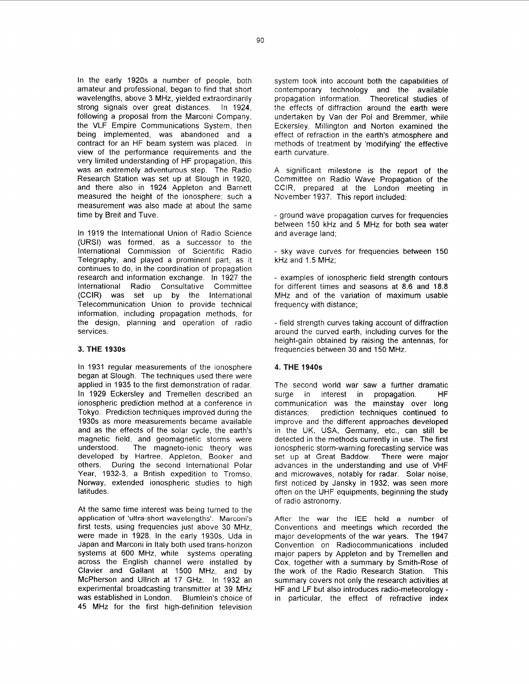In the early 1920s a number of people, both amateur and professional, began to find that short wavelengths, above 3 MHz, yielded extraordinarily strong signals over great distances. In 1924, following a proposal from the Marconi Company, the VLF Empire Communications System, then being implemented, was abandoned and a contract for an HF beam system was placed. In view of the performance requirements and the very limited understanding of HF propagation, this was an extremely adventurous step. The Radio Research Station was set up at Slough in 1920, and there also in 1924 Appleton and Barnett measured the height of the ionosphere; such a measurement was also made at about the same time by Breit and Tuve.

In 1919 the International Union of Radio Science (URSI) was formed, as a successor to the International Commission of Scientific Radio Telegraphy, and played a prominent part, as it continues to do, in the coordination of propagation research and information exchange. In 1927 the International Radio Consultative Committee (CCIR) was set up by the International Telecommunication Union to provide technical information, including propagation methods, for the design, planning and operation of radio services.

## **3. THE 1930s**

In 1931 regular measurements of the ionosphere began at Slough. The techniques used there were applied in 1935 to the first demonstration of radar. In 1929 Eckersley and Tremellen described an ionospheric prediction method at a conference in Tokyo. Prediction techniques improved during the 1930s as more measurements became available and as the effects of the solar cycle, the earth's magnetic field, and geomagnetic storms were<br>understood. The magneto-ionic theory was The magneto-ionic theory was developed by Hartree, Appleton, Booker and others. During the second International Polar Year, 1932-3, a British expedition to Tromso, Norway, extended ionospheric studies to high latitudes.

At the same time interest was being turned to the application of 'ultra-short wavelengths'. Marconi's first tests, using frequencies just above 30 MHz, were made in 1928. In the early 1930s, Uda in Japan and Marconi in Italy both used trans-horizon systems at 600 MHz, while systems operating across the English channel were installed by Clavier and Gallant at 1500 MHz, and by McPherson and Ullrich at 17 GHz. In 1932 an experimental broadcasting transmitter at 39 MHz was established in London. Blumlein's choice of 45 MHz for the first high-definition television

system took into account both the capabilities of contemporary technology and the available propagation information. Theoretical studies of the effects of diffraction around the earth were undertaken by Van der Pol and Bremmer, while Eckersley, Millington and Norton examined the effect of refraction in the earth's atmosphere and methods of treatment by 'modifying' the effective earth curvature.

A significant milestone is the report of the Committee on Radio Wave Propagation of the CCIR, prepared at the London meeting in November 1937. This report included:

- ground wave propagation curves for frequencies between 150 kHz and 5 MHz for both sea water and average land;

- sky wave curves for frequencies between 150 kHz and 1.5 MHz;

- examples of ionospheric field strength contours for different times and seasons at 8.6 and 18.8 MHz and of the variation of maximum usable frequency with distance;

- field strength curves taking account of diffraction around the curved earth, including curves for the height-gain obtained by raising the antennas, for frequencies between 30 and 150 MHz.

#### **4. THE 1940s**

The second world war saw a further dramatic surge in interest in propagation. HF communication was the mainstay over long distances; prediction techniques continued to improve and the different approaches developed in the UK, USA, Germany, etc., can still be detected in the methods currently in use. The first ionospheric storm-warning forecasting service was set up at Great Baddow. There were major advances in the understanding and use of VHF and microwaves, notably for radar. Solar noise, first noticed by Jansky in 1932, was seen more often on the UHF equipments, beginning the study of radio astronomy.

After the war the IEE held a number of Conventions and meetings which recorded the major developments of the war years. The 1947 Convention on Radiocommunications included major papers by Appleton and by Tremellen and Cox, together with a summary by Smith-Rose of the work of the Radio Research Station. This summary covers not only the research activities at HF and LF but also introduces radio-meteorology in particular, the effect of refractive index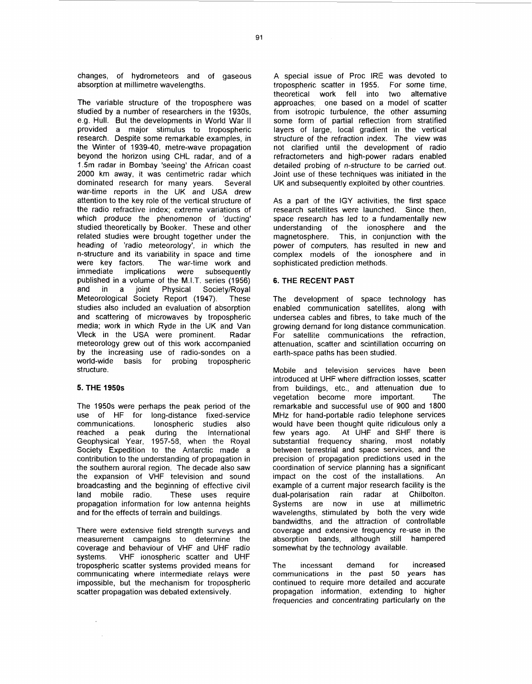changes, of hydrometeors and of gaseous absorption at millimetre wavelengths.

The variable structure of the troposphere was studied by a number of researchers in the 1930s, e.g. Hull. But the developments in World War II provided a major stimulus to tropospheric research. Despite some remarkable examples, in the Winter of 1939-40, metre-wave propagation beyond the horizon using CHL radar, and of a 1.5m radar in Bombay 'seeing' the African coast 2000 km away, it was centimetric radar which dominated research for many years. Several war-time reports in the UK and USA drew attention to the key role of the vertical structure of the radio refractive index; extreme variations of which produce the phenomenon of "ducting' studied theoretically by Booker. These and other related studies were brought together under the heading of 'radio meteorology', in which the n-structure and its variability in space and time were key factors. The war-time work and immediate implications were subsequently published in a volume of the M.I.T. series (1956) and in a joint Physical Society/Royal Meteorological Society Report (1947). These studies also included an evaluation of absorption and scattering of microwaves by tropospheric media; work in which Ryde in the UK and Van Vleck in the USA were prominent. Radar meteorology grew out of this work accornpanied by the increasing use of radio-sondes on a world-wide basis for probing tropospheric structure.

## **5. THE 1950s**

The 1950s were perhaps the peak period of the use of HF for long-distance fixed-service communications. Ionospheric studies also reached a peak during the International Geophysical Year, 1957-58, when the Royal Society Expedition to the Antarctic made a contribution to the understanding of propagation in the southern auroral region. The decade also saw the expansion of VHF television and sound broadcasting and the beginning of effective civil land mobile radio. These uses require propagation information for low antenna heights and for the effects of terrain and buildings.

There were extensive field strength surveys and measurement campaigns to determine the coverage and behaviour of VHF and UHF radio systems. VHF ionospheric scatter and UHF tropospheric scatter systems provided means for communicating where intermediate relays were impossible, but the mechanism for tropospheric scatter propagation was debated extensively.

A special issue of Proc IRE was devoted to tropospheric: scatter in 1955. For some time, theoretical work fell into two alternative approaches; one based on a model of scatter from isotropic turbulence, the other assuming some form of partial reflection from stratified layers of large, local gradient in the vertical structure *of* the refraction index. The view was not clarified until the development of radio refractometers and high-power radars enabled detailed probing of n-structure to be carried out. Joint use of these techniques was initiated in the UK and subsequently exploited by other countries.

As a part of the IGY activities, the first space research satellites were launched. Since then, space research has led to a fundamentally new understanding of the ionosphere and the magnetosphere. This, in conjunction with the power of computers, has resulted in new and complex models of the ionosphere and in sophisticated prediction methods.

## **6. THE RECENT PAST**

The development of space technology has enabled communication satellites, along with undersea cables and fibres, to take much of the growing demand for long distance communication. For satellite communications the refraction, attenuation, scatter and scintillation occurring on earth-space paths has been studied.

Mobile and television services have been introduced at UHF where diffraction losses, scatter from buildings, etc., and attenuation due to vegetation become more important. The remarkable and successful use of 900 and 1800 MHz for hand-portable radio telephone services would have been thought quite ridiculous only a few years ago. At UHF and SHF there is substantial frequency sharing, most notably between terrestrial and space services, and the precision of propagation predictions used in the coordination of service planning has a significant impact on the cost of the installations. An example of a current major research facility is the dual-polarisation rain radar at Chilbolton. Systems are now in use at millimetric wavelengths, stimulated by both the very wide bandwidths, and the attraction of controllable coverage and extensive frequency re-use in the absorption bands, although still hampered somewhat by the technology available.

The incessant demand for increased communications in the *past 50* **years has**  continued to require more detailed and accurate propagation information, extending to higher frequencies and concentrating particularly on the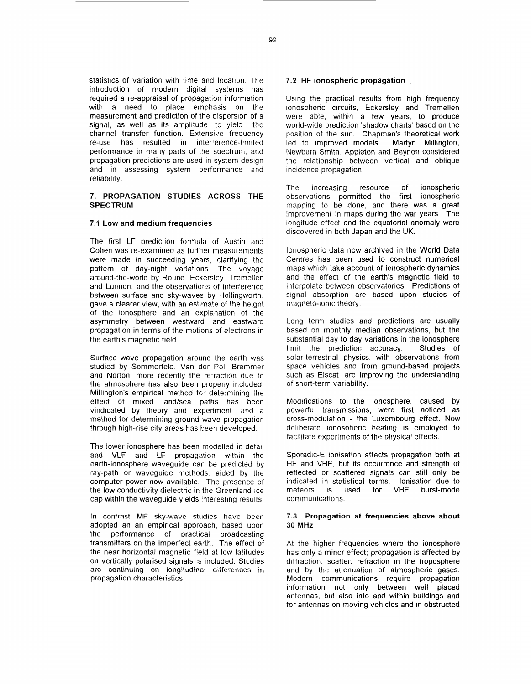statistics of variation with time and location. The introduction of modern digital systems has required a re-appraisal of propagation information with a need to place emphasis on the measurement and prediction of the dispersion of a signal, as well as its amplitude, to yield the channel transfer function. Extensive frequency re-use has resulted in interference-limited performance in many parts of the spectrum, and propagation predictions are used in system design and in assessing system performance and reliability.

# 7. PROPAGATION STUDIES ACROSS THE SPECTRUM

### **7.1 Low and** medium frequencies

The first LF prediction formula of Austin and Cohen was re-examined as further measurements were made in succeeding years, clarifying the pattern of day-night variations. The voyage around-the-world by Round, Eckersley, Tremellen and Lunnon, and the observations of interference between surface and sky-waves by Hollingworth, gave a clearer view, with an estimate of the height of the ionosphere and an explanation of the asymmetry between westward and eastward propagation in terms of the motions of electrons in the earth's magnetic field.

Surface wave propagation around the earth was studied by Sommerfeld, Van der Pol, Bremmer and Norton, more recently the refraction due to the atmosphere has also been properly included. Millington's empirical method for determining the effect of mixed land/sea paths has been vindicated by theory and experiment, and a method for determining ground wave propagation through high-rise city areas has been developed.

The lower ionosphere has been modelled in detail and VLF and LF propagation within the earth-ionosphere waveguide can be predicted by ray-path or waveguide methods, aided by the computer power now available. The presence of the low conductivity dielectric in the Greenland ice cap within the waveguide yields interesting results.

In contrast MF sky-wave studies have been adopted an an empirical approach, based upon the performance of practical broadcasting transmitters on the imperfect earth. The effect of the near horizontal magnetic field at low latitudes on vertically polarised signals is included. Studies are continuing on longitudinal differences in propagation characteristics.

### **7.2 HF** ionospheric propagation

Using the practical results from high frequency ionospheric circuits, Eckersley and Tremellen were able, within a few years, to produce world-wide prediction 'shadow charts' based on the position of the sun. Chapman's theoretical work<br>led to improved models. Martyn, Millington, led to improved models. Newburn Smith, Appleton and Beynon considered the relationship between vertical and oblique incidence propagation.

The increasing resource of ionospheric observations permitted the first ionospheric mapping to be done, and there was a great improvement in maps during the war years. The longitude effect and the equatorial anomaly were discovered in both Japan and the UK.

Ionospheric data now archived in the World Data Centres has been used to construct numerical maps which take account of ionospheric dynamics and the effect of the earth's magnetic field to interpolate between observatories. Predictions of signal absorption are based upon studies of magneto-ionic theory.

Long term studies and predictions are usually based on monthly median observations, but the substantial day to day variations in the ionosphere limit the prediction accuracy. Studies of solar-terrestrial physics, with observations from space vehicles and from ground-based projects such as Eiscat, are improving the understanding of short-term variability.

Modifications to the ionosphere, caused by powerful transmissions, were first noticed as cross-modulation - the Luxembourg effect. Now deliberate ionospheric heating is employed to facilitate experiments of the physical effects.

Sporadic-E ionisation affects propagation both at HF and VHF, but its occurrence and strength of reflected or scattered signals can still only be indicated in statistical terms. Ionisation due to meteors is used for VHF burst-mode communications.

#### **7.3 Propagation at frequencies above about**  *30* MHz

At the higher frequencies where the ionosphere has only a minor effect; propagation is affected by diffraction, scatter, refraction in the troposphere and by the attenuation of atmospheric gases. Modern communications require propagation information not only between well placed antennas, but also into and within buildings and for antennas on moving vehicles and in obstructed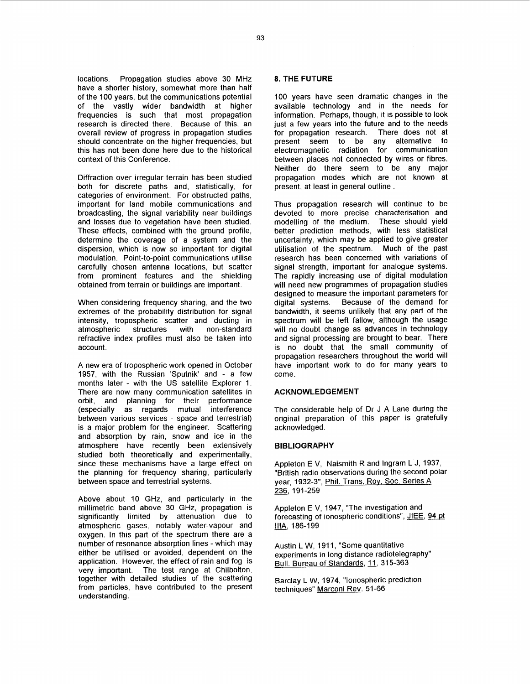locations. Propagation studies above 30 MHz have a shorter history, somewhat more than half of the 100 years, but the communications potential of the vastly wider bandwidth at higher<br>frequencies is such that most propagation research is directed there. Because of this, an overall review of progress in propagation studies should concentrate on the higher frequencies, but this has not been done here due to the historical context of this Conference.

Diffraction over irregular terrain has been studied both for discrete paths and, statistically, for categories of environment. For obstructed paths, important for land mobile communications and broadcasting, the signal variability near buildings and losses due to vegetation have been studied. These effects, combined with the ground profile, determine the coverage of a system and the dispersion, which is now so important for digital modulation. Point-to-point communications utilise carefully chosen antenna locations, but scatter from prominent features and the shielding obtained from terrain or buildings are important.

When considering frequency sharing, and the two extremes of the probability distribution for signal intensity, tropospheric scatter and ducting in atmospheric structures with non-standard refractive index profiles must also be taken into account.

A new era of tropospheric work opened in October 1957, with the Russian 'Sputnik' and - a few months later - with the US satellite Eyplorer 1. There are now many communication satellites in orbit, and planning for their performance (especially as regards mutual interference between various services - space and terrestrial) is a major problem for the engineer. Scattering and absorption by rain, snow and ice in the atmosphere have recently been extensively studied both theoretically and experimentally, since these mechanisms have a large effect on the planning for frequency sharing, particularly between space and terrestrial systems.

Above about 10 GHz, and particularly in the millimetric band above 30 GHz, propagation is significantly limited by attenuation due to atmospheric gases, notably water-vapour and oxygen. In this part of the spectrum there are a number of resonance absorption lines - which may either be utilised or avoided, dependent on the application. However, the effect of rain and fog is very important. The test range at Chilbolton, together with detailed studies of the scattering from particles, have contributed to the present understanding.

# **8. THE FUTURE**

100 years have seen dramatic changes in the available technology and in the needs for information. Perhaps, though, it is possible to look just a few years into the future and to the needs for propagation research. There does not at present seem to be any alternative to electromagnetic radiation for communication between places not connected by wires or fibres. Neither do there seem to be any major propagation modes which are not known at present, at least in general outline.

Thus propagation research will continue to be devoted to more precise characterisation and modelling of the medium. These should vield better prediction methods, with less statistical uncertainty, which may be applied to give greater utilisation of the spectrum. Much of the past research has been concerned with variations of signal strength, important for analogue systems. The rapidly increasing use of digital modulation will need new programmes of propagation studies designed to measure the important parameters for digital systems. Because of the demand for bandwidth, it seems unlikely that any part of the spectrum will be left fallow, although the usage will no doubt change as advances in technology and signal processing are brought to bear. There is no doubt that the small community of propagation researchers throughout the world will have important work to do for many years to come.

#### **ACKNOWLEDGEMENT**

The considerable help of Dr J A Lane during the original preparation of this paper is gratefully acknowledged.

### **BIBLIOGRAPHY**

Appleton E V, Naismith R and Ingram L J, 1937,<br>"British radio observations during the second pola<br>year, 1932-3", <u>Phil. Trans. Roy. Soc. Series A</u><br>236, 191-259 "British radio observations during the second polar year, 1932-3", Phil. Trans. Roy. Soc. Series A

Appleton E V, 1947, "The investigation and forecasting of ionospheric conditions", JIEE, 94 *Dt*   $\frac{1}{2}$ <br>Appleton E V,<br>forecasting of<br>IIIA, 186-199

Austin L W, 1911, "Some quantitative experiments in long distance radiotelegraphy" Bull. Bureau of Standards, **g9** 315-363

Barclay L W, 1974, "Ionospheric prediction techniques" Marconi Rev. 51-66